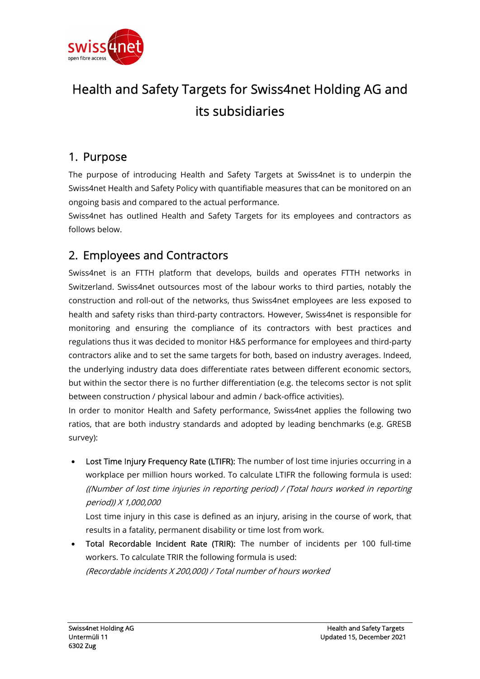

## Health and Safety Targets for Swiss4net Holding AG and its subsidiaries

## 1. Purpose

The purpose of introducing Health and Safety Targets at Swiss4net is to underpin the Swiss4net Health and Safety Policy with quantifiable measures that can be monitored on an ongoing basis and compared to the actual performance.

Swiss4net has outlined Health and Safety Targets for its employees and contractors as follows below.

## 2. Employees and Contractors

Swiss4net is an FTTH platform that develops, builds and operates FTTH networks in Switzerland. Swiss4net outsources most of the labour works to third parties, notably the construction and roll-out of the networks, thus Swiss4net employees are less exposed to health and safety risks than third-party contractors. However, Swiss4net is responsible for monitoring and ensuring the compliance of its contractors with best practices and regulations thus it was decided to monitor H&S performance for employees and third-party contractors alike and to set the same targets for both, based on industry averages. Indeed, the underlying industry data does differentiate rates between different economic sectors, but within the sector there is no further differentiation (e.g. the telecoms sector is not split between construction / physical labour and admin / back-office activities).

In order to monitor Health and Safety performance, Swiss4net applies the following two ratios, that are both industry standards and adopted by leading benchmarks (e.g. GRESB survey):

Lost Time Injury Frequency Rate (LTIFR): The number of lost time injuries occurring in a workplace per million hours worked. To calculate LTIFR the following formula is used: ((Number of lost time injuries in reporting period) / (Total hours worked in reporting period)) X 1,000,000

Lost time injury in this case is defined as an injury, arising in the course of work, that results in a fatality, permanent disability or time lost from work.

 Total Recordable Incident Rate (TRIR): The number of incidents per 100 full-time workers. To calculate TRIR the following formula is used: (Recordable incidents X 200,000) / Total number of hours worked